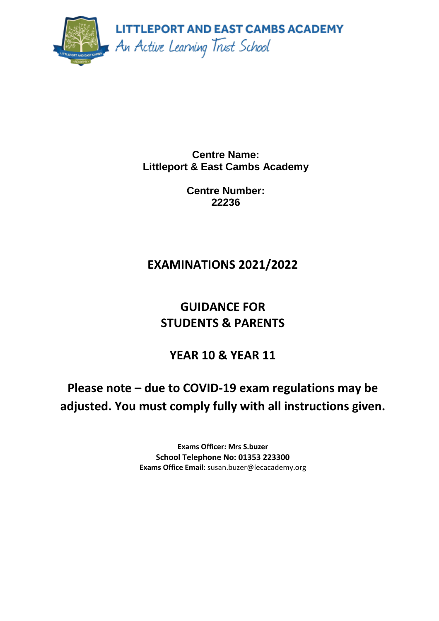

**Centre Name: Littleport & East Cambs Academy**

> **Centre Number: 22236**

# **EXAMINATIONS 2021/2022**

# **GUIDANCE FOR STUDENTS & PARENTS**

# **YEAR 10 & YEAR 11**

**Please note – due to COVID-19 exam regulations may be adjusted. You must comply fully with all instructions given.**

> **Exams Officer: Mrs S.buzer School Telephone No: 01353 223300 Exams Office Email**: susan.buzer@lecacademy.org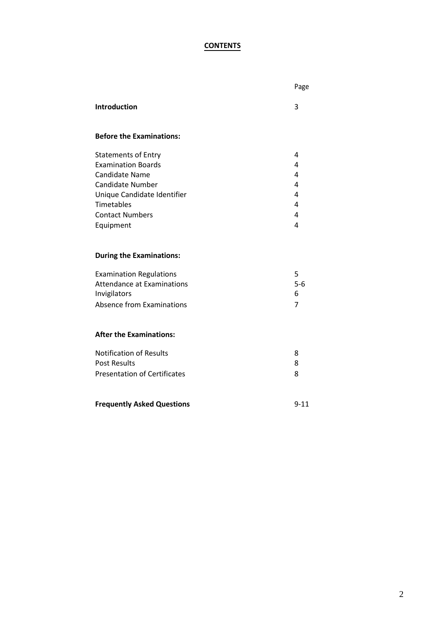## **CONTENTS**

|                                                                     | Page           |
|---------------------------------------------------------------------|----------------|
| <b>Introduction</b>                                                 | 3              |
| <b>Before the Examinations:</b>                                     |                |
| <b>Statements of Entry</b>                                          | 4              |
| <b>Examination Boards</b>                                           | 4              |
| <b>Candidate Name</b>                                               | 4              |
| <b>Candidate Number</b>                                             | 4              |
| Unique Candidate Identifier                                         | 4              |
| Timetables                                                          | 4              |
| <b>Contact Numbers</b>                                              | 4              |
| Equipment                                                           | 4              |
| <b>During the Examinations:</b>                                     |                |
|                                                                     | 5              |
| <b>Examination Regulations</b><br><b>Attendance at Examinations</b> | $5-6$          |
| Invigilators                                                        | 6              |
| Absence from Examinations                                           | $\overline{7}$ |
|                                                                     |                |
| <b>After the Examinations:</b>                                      |                |
| <b>Notification of Results</b>                                      | 8              |
| <b>Post Results</b>                                                 | 8              |
| <b>Presentation of Certificates</b>                                 | 8              |
|                                                                     |                |
| <b>Frequently Asked Questions</b>                                   | $9 - 11$       |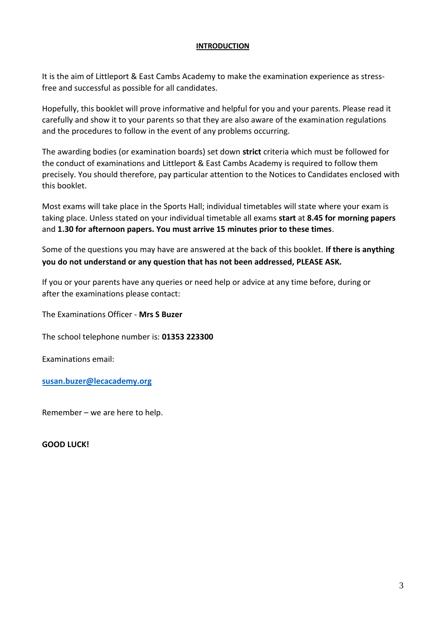## **INTRODUCTION**

It is the aim of Littleport & East Cambs Academy to make the examination experience as stressfree and successful as possible for all candidates.

Hopefully, this booklet will prove informative and helpful for you and your parents. Please read it carefully and show it to your parents so that they are also aware of the examination regulations and the procedures to follow in the event of any problems occurring.

The awarding bodies (or examination boards) set down **strict** criteria which must be followed for the conduct of examinations and Littleport & East Cambs Academy is required to follow them precisely. You should therefore, pay particular attention to the Notices to Candidates enclosed with this booklet.

Most exams will take place in the Sports Hall; individual timetables will state where your exam is taking place. Unless stated on your individual timetable all exams **start** at **8.45 for morning papers** and **1.30 for afternoon papers. You must arrive 15 minutes prior to these times**.

Some of the questions you may have are answered at the back of this booklet. **If there is anything you do not understand or any question that has not been addressed, PLEASE ASK.**

If you or your parents have any queries or need help or advice at any time before, during or after the examinations please contact:

The Examinations Officer - **Mrs S Buzer** 

The school telephone number is: **01353 223300**

Examinations email:

**[susan.buzer@lecacademy.org](mailto:susan.buzer@lecacademy.org)**

Remember – we are here to help.

**GOOD LUCK!**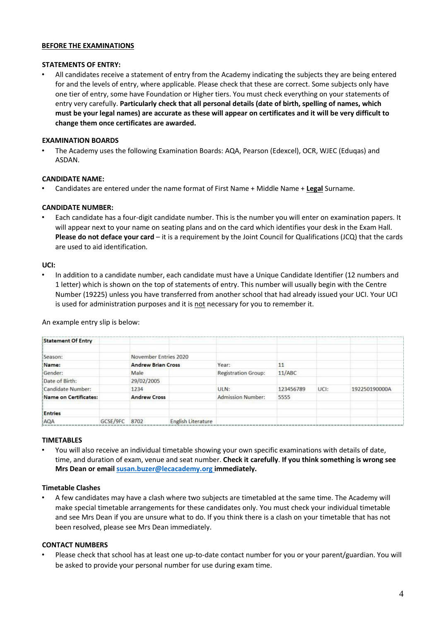## **BEFORE THE EXAMINATIONS**

### **STATEMENTS OF ENTRY:**

• All candidates receive a statement of entry from the Academy indicating the subjects they are being entered for and the levels of entry, where applicable. Please check that these are correct. Some subjects only have one tier of entry, some have Foundation or Higher tiers. You must check everything on your statements of entry very carefully. **Particularly check that all personal details (date of birth, spelling of names, which must be your legal names) are accurate as these will appear on certificates and it will be very difficult to change them once certificates are awarded.**

#### **EXAMINATION BOARDS**

• The Academy uses the following Examination Boards: AQA, Pearson (Edexcel), OCR, WJEC (Eduqas) and ASDAN.

#### **CANDIDATE NAME:**

• Candidates are entered under the name format of First Name + Middle Name + **Legal** Surname.

#### **CANDIDATE NUMBER:**

• Each candidate has a four-digit candidate number. This is the number you will enter on examination papers. It will appear next to your name on seating plans and on the card which identifies your desk in the Exam Hall. **Please do not deface your card** – it is a requirement by the Joint Council for Qualifications (JCQ) that the cards are used to aid identification.

#### **UCI:**

• In addition to a candidate number, each candidate must have a Unique Candidate Identifier (12 numbers and 1 letter) which is shown on the top of statements of entry. This number will usually begin with the Centre Number (19225) unless you have transferred from another school that had already issued your UCI. Your UCI is used for administration purposes and it is not necessary for you to remember it.

An example entry slip is below:

| <b>Statement Of Entry</b> |          |                           |                           |                            |           |      |               |  |
|---------------------------|----------|---------------------------|---------------------------|----------------------------|-----------|------|---------------|--|
| Season:                   |          | November Entries 2020     |                           |                            |           |      |               |  |
| Name:                     |          | <b>Andrew Brian Cross</b> |                           | Year:                      | 11        |      |               |  |
| Gender:                   |          | Male                      |                           | <b>Registration Group:</b> | 11/ABC    |      |               |  |
| Date of Birth:            |          | 29/02/2005                |                           |                            |           |      |               |  |
| Candidate Number:         |          | 1234                      |                           | ULN:                       | 123456789 | UCI: | 192250190000A |  |
| Name on Certificates:     |          | <b>Andrew Cross</b>       |                           | <b>Admission Number:</b>   | 5555      |      |               |  |
| <b>Entries</b>            |          |                           |                           |                            |           |      |               |  |
| AQA                       | GCSE/9FC | 8702                      | <b>English Literature</b> |                            |           |      |               |  |

## **TIMETABLES**

• You will also receive an individual timetable showing your own specific examinations with details of date, time, and duration of exam, venue and seat number. **Check it carefully**. **If you think something is wrong see Mrs Dean or email [susan.buzer@lecacademy.org i](mailto:susan.buzer@lecacademy.org)mmediately.**

## **Timetable Clashes**

• A few candidates may have a clash where two subjects are timetabled at the same time. The Academy will make special timetable arrangements for these candidates only. You must check your individual timetable and see Mrs Dean if you are unsure what to do. If you think there is a clash on your timetable that has not been resolved, please see Mrs Dean immediately.

## **CONTACT NUMBERS**

• Please check that school has at least one up-to-date contact number for you or your parent/guardian. You will be asked to provide your personal number for use during exam time.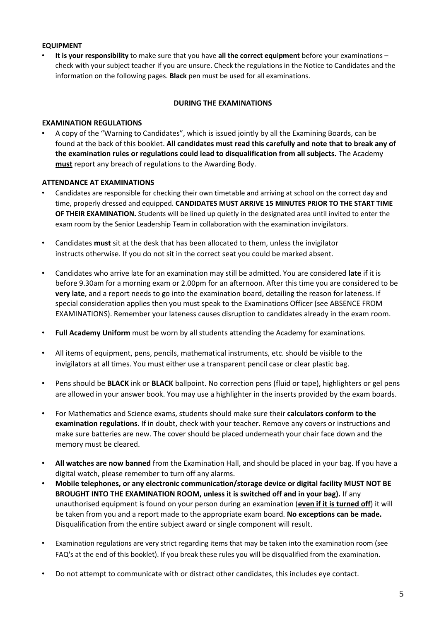## **EQUIPMENT**

• **It is your responsibility** to make sure that you have **all the correct equipment** before your examinations – check with your subject teacher if you are unsure. Check the regulations in the Notice to Candidates and the information on the following pages. **Black** pen must be used for all examinations.

## **DURING THE EXAMINATIONS**

## **EXAMINATION REGULATIONS**

• A copy of the "Warning to Candidates", which is issued jointly by all the Examining Boards, can be found at the back of this booklet. **All candidates must read this carefully and note that to break any of the examination rules or regulations could lead to disqualification from all subjects.** The Academy **must** report any breach of regulations to the Awarding Body.

## **ATTENDANCE AT EXAMINATIONS**

- Candidates are responsible for checking their own timetable and arriving at school on the correct day and time, properly dressed and equipped. **CANDIDATES MUST ARRIVE 15 MINUTES PRIOR TO THE START TIME OF THEIR EXAMINATION.** Students will be lined up quietly in the designated area until invited to enter the exam room by the Senior Leadership Team in collaboration with the examination invigilators.
- Candidates **must** sit at the desk that has been allocated to them, unless the invigilator instructs otherwise. If you do not sit in the correct seat you could be marked absent.
- Candidates who arrive late for an examination may still be admitted. You are considered **late** if it is before 9.30am for a morning exam or 2.00pm for an afternoon. After this time you are considered to be **very late**, and a report needs to go into the examination board, detailing the reason for lateness. If special consideration applies then you must speak to the Examinations Officer (see ABSENCE FROM EXAMINATIONS). Remember your lateness causes disruption to candidates already in the exam room.
- **Full Academy Uniform** must be worn by all students attending the Academy for examinations.
- All items of equipment, pens, pencils, mathematical instruments, etc. should be visible to the invigilators at all times. You must either use a transparent pencil case or clear plastic bag.
- Pens should be **BLACK** ink or **BLACK** ballpoint. No correction pens (fluid or tape), highlighters or gel pens are allowed in your answer book. You may use a highlighter in the inserts provided by the exam boards.
- For Mathematics and Science exams, students should make sure their **calculators conform to the examination regulations**. If in doubt, check with your teacher. Remove any covers or instructions and make sure batteries are new. The cover should be placed underneath your chair face down and the memory must be cleared.
- **All watches are now banned** from the Examination Hall, and should be placed in your bag. If you have a digital watch, please remember to turn off any alarms.
- **Mobile telephones, or any electronic communication/storage device or digital facility MUST NOT BE BROUGHT INTO THE EXAMINATION ROOM, unless it is switched off and in your bag).** If any unauthorised equipment is found on your person during an examination (**even if it is turned off**) it will be taken from you and a report made to the appropriate exam board. **No exceptions can be made.** Disqualification from the entire subject award or single component will result.
- Examination regulations are very strict regarding items that may be taken into the examination room (see FAQ's at the end of this booklet). If you break these rules you will be disqualified from the examination.
- Do not attempt to communicate with or distract other candidates, this includes eye contact.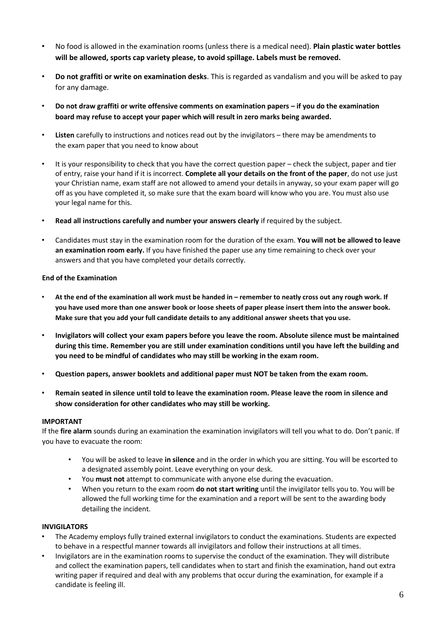- No food is allowed in the examination rooms (unless there is a medical need). **Plain plastic water bottles will be allowed, sports cap variety please, to avoid spillage. Labels must be removed.**
- **Do not graffiti or write on examination desks**. This is regarded as vandalism and you will be asked to pay for any damage.
- **Do not draw graffiti or write offensive comments on examination papers – if you do the examination board may refuse to accept your paper which will result in zero marks being awarded.**
- **Listen** carefully to instructions and notices read out by the invigilators there may be amendments to the exam paper that you need to know about
- It is your responsibility to check that you have the correct question paper check the subject, paper and tier of entry, raise your hand if it is incorrect. **Complete all your details on the front of the paper**, do not use just your Christian name, exam staff are not allowed to amend your details in anyway, so your exam paper will go off as you have completed it, so make sure that the exam board will know who you are. You must also use your legal name for this.
- **Read all instructions carefully and number your answers clearly** if required by the subject.
- Candidates must stay in the examination room for the duration of the exam. **You will not be allowed to leave an examination room early.** If you have finished the paper use any time remaining to check over your answers and that you have completed your details correctly.

#### **End of the Examination**

- **At the end of the examination all work must be handed in – remember to neatly cross out any rough work. If you have used more than one answer book or loose sheets of paper please insert them into the answer book. Make sure that you add your full candidate details to any additional answer sheets that you use.**
- **Invigilators will collect your exam papers before you leave the room. Absolute silence must be maintained during this time. Remember you are still under examination conditions until you have left the building and you need to be mindful of candidates who may still be working in the exam room.**
- **Question papers, answer booklets and additional paper must NOT be taken from the exam room.**
- **Remain seated in silence until told to leave the examination room. Please leave the room in silence and show consideration for other candidates who may still be working.**

#### **IMPORTANT**

If the **fire alarm** sounds during an examination the examination invigilators will tell you what to do. Don't panic. If you have to evacuate the room:

- You will be asked to leave **in silence** and in the order in which you are sitting. You will be escorted to a designated assembly point. Leave everything on your desk.
- You **must not** attempt to communicate with anyone else during the evacuation.
- When you return to the exam room **do not start writing** until the invigilator tells you to. You will be allowed the full working time for the examination and a report will be sent to the awarding body detailing the incident.

## **INVIGILATORS**

- The Academy employs fully trained external invigilators to conduct the examinations. Students are expected to behave in a respectful manner towards all invigilators and follow their instructions at all times.
- Invigilators are in the examination rooms to supervise the conduct of the examination. They will distribute and collect the examination papers, tell candidates when to start and finish the examination, hand out extra writing paper if required and deal with any problems that occur during the examination, for example if a candidate is feeling ill.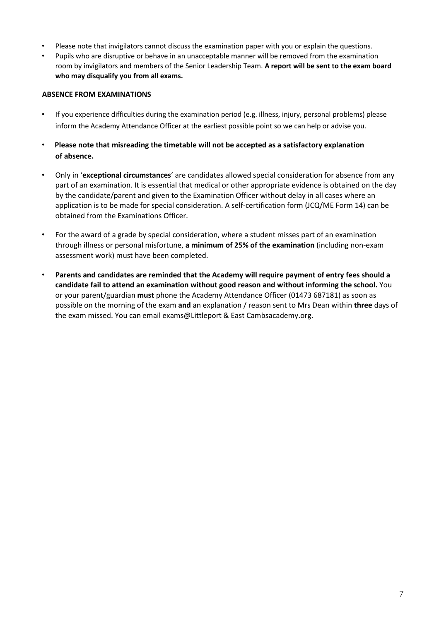- Please note that invigilators cannot discuss the examination paper with you or explain the questions.
- Pupils who are disruptive or behave in an unacceptable manner will be removed from the examination room by invigilators and members of the Senior Leadership Team. **A report will be sent to the exam board who may disqualify you from all exams.**

## **ABSENCE FROM EXAMINATIONS**

- If you experience difficulties during the examination period (e.g. illness, injury, personal problems) please inform the Academy Attendance Officer at the earliest possible point so we can help or advise you.
- **Please note that misreading the timetable will not be accepted as a satisfactory explanation of absence.**
- Only in '**exceptional circumstances**' are candidates allowed special consideration for absence from any part of an examination. It is essential that medical or other appropriate evidence is obtained on the day by the candidate/parent and given to the Examination Officer without delay in all cases where an application is to be made for special consideration. A self-certification form (JCQ/ME Form 14) can be obtained from the Examinations Officer.
- For the award of a grade by special consideration, where a student misses part of an examination through illness or personal misfortune, **a minimum of 25% of the examination** (including non-exam assessment work) must have been completed.
- **Parents and candidates are reminded that the Academy will require payment of entry fees should a candidate fail to attend an examination without good reason and without informing the school.** You or your parent/guardian **must** phone the Academy Attendance Officer (01473 687181) as soon as possible on the morning of the exam **and** an explanation / reason sent to Mrs Dean within **three** days of the exam missed. You can email exams@Littleport & East Cambsacademy.org.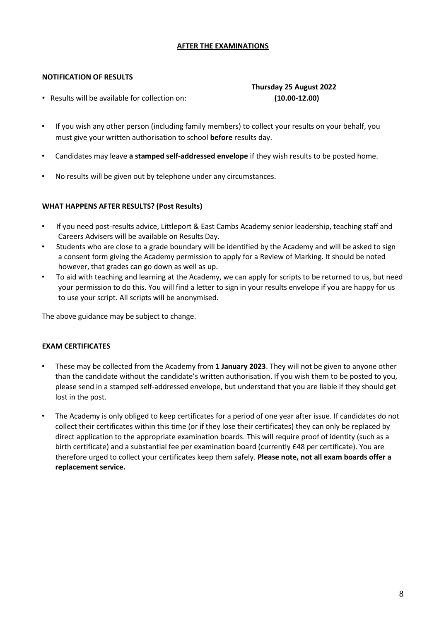## **AFTER THE EXAMINATIONS**

## **NOTIFICATION OF RESULTS**

• Results will be available for collection on:

## **Thursday 25 August 2022 (10.00-12.00)**

- If you wish any other person (including family members) to collect your results on your behalf, you must give your written authorisation to school **before** results day.
- Candidates may leave **a stamped self-addressed envelope** if they wish results to be posted home.
- No results will be given out by telephone under any circumstances.

## **WHAT HAPPENS AFTER RESULTS? (Post Results)**

- If you need post-results advice, Littleport & East Cambs Academy senior leadership, teaching staff and Careers Advisers will be available on Results Day.
- Students who are close to a grade boundary will be identified by the Academy and will be asked to sign a consent form giving the Academy permission to apply for a Review of Marking. It should be noted however, that grades can go down as well as up.
- To aid with teaching and learning at the Academy, we can apply for scripts to be returned to us, but need your permission to do this. You will find a letter to sign in your results envelope if you are happy for us to use your script. All scripts will be anonymised.

The above guidance may be subject to change.

## **EXAM CERTIFICATES**

- These may be collected from the Academy from **1 January 2023**. They will not be given to anyone other than the candidate without the candidate's written authorisation. If you wish them to be posted to you, please send in a stamped self-addressed envelope, but understand that you are liable if they should get lost in the post.
- The Academy is only obliged to keep certificates for a period of one year after issue. If candidates do not collect their certificates within this time (or if they lose their certificates) they can only be replaced by direct application to the appropriate examination boards. This will require proof of identity (such as a birth certificate) and a substantial fee per examination board (currently £48 per certificate). You are therefore urged to collect your certificates keep them safely. **Please note, not all exam boards offer a replacement service.**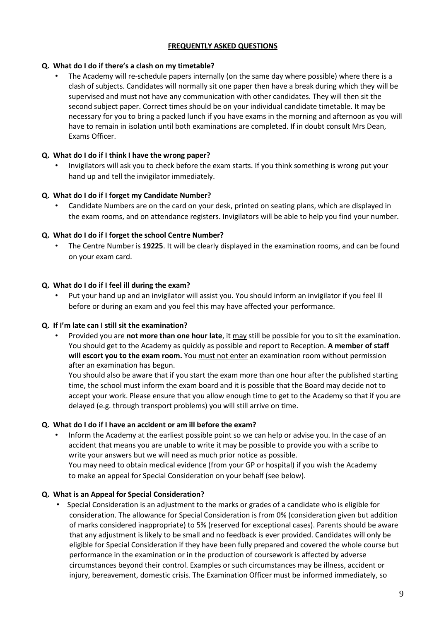## **FREQUENTLY ASKED QUESTIONS**

## **Q. What do I do if there's a clash on my timetable?**

• The Academy will re-schedule papers internally (on the same day where possible) where there is a clash of subjects. Candidates will normally sit one paper then have a break during which they will be supervised and must not have any communication with other candidates. They will then sit the second subject paper. Correct times should be on your individual candidate timetable. It may be necessary for you to bring a packed lunch if you have exams in the morning and afternoon as you will have to remain in isolation until both examinations are completed. If in doubt consult Mrs Dean, Exams Officer.

## **Q. What do I do if I think I have the wrong paper?**

• Invigilators will ask you to check before the exam starts. If you think something is wrong put your hand up and tell the invigilator immediately.

## **Q. What do I do if I forget my Candidate Number?**

• Candidate Numbers are on the card on your desk, printed on seating plans, which are displayed in the exam rooms, and on attendance registers. Invigilators will be able to help you find your number.

## **Q. What do I do if I forget the school Centre Number?**

• The Centre Number is **19225**. It will be clearly displayed in the examination rooms, and can be found on your exam card.

## **Q. What do I do if I feel ill during the exam?**

• Put your hand up and an invigilator will assist you. You should inform an invigilator if you feel ill before or during an exam and you feel this may have affected your performance.

## **Q. If I'm late can I still sit the examination?**

• Provided you are **not more than one hour late**, it may still be possible for you to sit the examination. You should get to the Academy as quickly as possible and report to Reception. **A member of staff will escort you to the exam room.** You **must not enter** an examination room without permission after an examination has begun.

You should also be aware that if you start the exam more than one hour after the published starting time, the school must inform the exam board and it is possible that the Board may decide not to accept your work. Please ensure that you allow enough time to get to the Academy so that if you are delayed (e.g. through transport problems) you will still arrive on time.

## **Q. What do I do if I have an accident or am ill before the exam?**

• Inform the Academy at the earliest possible point so we can help or advise you. In the case of an accident that means you are unable to write it may be possible to provide you with a scribe to write your answers but we will need as much prior notice as possible. You may need to obtain medical evidence (from your GP or hospital) if you wish the Academy to make an appeal for Special Consideration on your behalf (see below).

## **Q. What is an Appeal for Special Consideration?**

• Special Consideration is an adjustment to the marks or grades of a candidate who is eligible for consideration. The allowance for Special Consideration is from 0% (consideration given but addition of marks considered inappropriate) to 5% (reserved for exceptional cases). Parents should be aware that any adjustment is likely to be small and no feedback is ever provided. Candidates will only be eligible for Special Consideration if they have been fully prepared and covered the whole course but performance in the examination or in the production of coursework is affected by adverse circumstances beyond their control. Examples or such circumstances may be illness, accident or injury, bereavement, domestic crisis. The Examination Officer must be informed immediately, so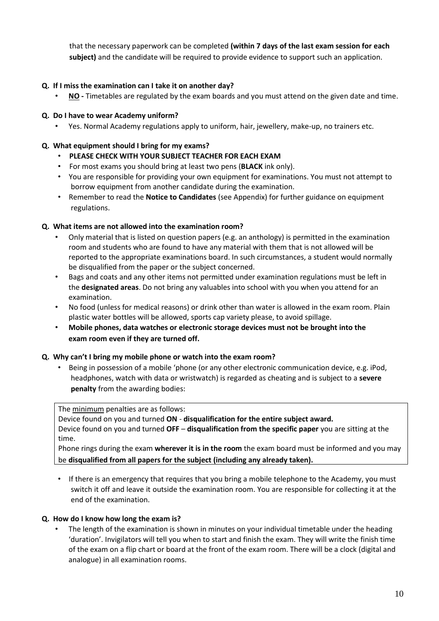that the necessary paperwork can be completed **(within 7 days of the last exam session for each subject)** and the candidate will be required to provide evidence to support such an application.

## **Q. If I miss the examination can I take it on another day?**

• **NO -** Timetables are regulated by the exam boards and you must attend on the given date and time.

## **Q. Do I have to wear Academy uniform?**

• Yes. Normal Academy regulations apply to uniform, hair, jewellery, make-up, no trainers etc.

## **Q. What equipment should I bring for my exams?**

## • **PLEASE CHECK WITH YOUR SUBJECT TEACHER FOR EACH EXAM**

- For most exams you should bring at least two pens (**BLACK** ink only).
- You are responsible for providing your own equipment for examinations. You must not attempt to borrow equipment from another candidate during the examination.
- Remember to read the **Notice to Candidates** (see Appendix) for further guidance on equipment regulations.

## **Q. What items are not allowed into the examination room?**

- Only material that is listed on question papers (e.g. an anthology) is permitted in the examination room and students who are found to have any material with them that is not allowed will be reported to the appropriate examinations board. In such circumstances, a student would normally be disqualified from the paper or the subject concerned.
- Bags and coats and any other items not permitted under examination regulations must be left in the **designated areas**. Do not bring any valuables into school with you when you attend for an examination.
- No food (unless for medical reasons) or drink other than water is allowed in the exam room. Plain plastic water bottles will be allowed, sports cap variety please, to avoid spillage.
- **Mobile phones, data watches or electronic storage devices must not be brought into the exam room even if they are turned off.**

## **Q. Why can't I bring my mobile phone or watch into the exam room?**

• Being in possession of a mobile 'phone (or any other electronic communication device, e.g. iPod, headphones, watch with data or wristwatch) is regarded as cheating and is subject to a **severe penalty** from the awarding bodies:

The minimum penalties are as follows:

Device found on you and turned **ON** - **disqualification for the entire subject award.**

Device found on you and turned **OFF** – **disqualification from the specific paper** you are sitting at the time.

Phone rings during the exam **wherever it is in the room** the exam board must be informed and you may be **disqualified from all papers for the subject (including any already taken).**

• If there is an emergency that requires that you bring a mobile telephone to the Academy, you must switch it off and leave it outside the examination room. You are responsible for collecting it at the end of the examination.

## **Q. How do I know how long the exam is?**

• The length of the examination is shown in minutes on your individual timetable under the heading 'duration'. Invigilators will tell you when to start and finish the exam. They will write the finish time of the exam on a flip chart or board at the front of the exam room. There will be a clock (digital and analogue) in all examination rooms.